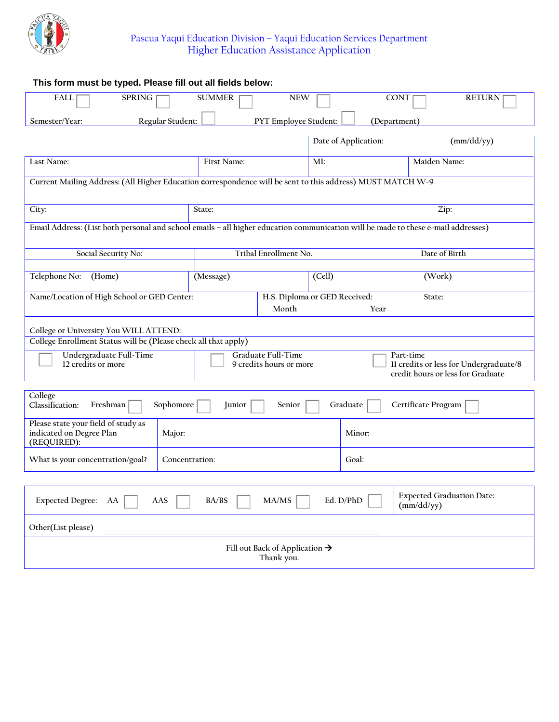

| This form must be typed. Please fill out all fields below:                                                                        |                                |                         |                       |        |                                                                             |               |               |  |  |  |
|-----------------------------------------------------------------------------------------------------------------------------------|--------------------------------|-------------------------|-----------------------|--------|-----------------------------------------------------------------------------|---------------|---------------|--|--|--|
| <b>FALL</b>                                                                                                                       | <b>SPRING</b><br><b>SUMMER</b> |                         | <b>NEW</b>            |        | <b>CONT</b>                                                                 |               | <b>RETURN</b> |  |  |  |
|                                                                                                                                   |                                |                         |                       |        |                                                                             |               |               |  |  |  |
| Regular Student:<br>PYT Employee Student:<br>Semester/Year:<br>(Department)                                                       |                                |                         |                       |        |                                                                             |               |               |  |  |  |
|                                                                                                                                   |                                | Date of Application:    |                       |        | (mm/dd/yy)                                                                  |               |               |  |  |  |
| Last Name:                                                                                                                        |                                | First Name:             |                       | MI:    |                                                                             |               | Maiden Name:  |  |  |  |
| Current Mailing Address: (All Higher Education correspondence will be sent to this address) MUST MATCH W-9                        |                                |                         |                       |        |                                                                             |               |               |  |  |  |
| City:<br>State:                                                                                                                   |                                |                         |                       |        |                                                                             |               | Zip:          |  |  |  |
| Email Address: (List both personal and school emails - all higher education communication will be made to these e-mail addresses) |                                |                         |                       |        |                                                                             |               |               |  |  |  |
| Social Security No:                                                                                                               |                                |                         | Tribal Enrollment No. |        |                                                                             | Date of Birth |               |  |  |  |
|                                                                                                                                   |                                |                         |                       |        |                                                                             |               |               |  |  |  |
| Telephone No:<br>(Home)                                                                                                           |                                | (Message)               |                       |        | (Cell)                                                                      |               | (Work)        |  |  |  |
| Name/Location of High School or GED Center:                                                                                       | H.S. Diploma or GED Received:  |                         |                       |        | State:                                                                      |               |               |  |  |  |
|                                                                                                                                   |                                |                         | Month                 |        | Year                                                                        |               |               |  |  |  |
| College or University You WILL ATTEND:                                                                                            |                                |                         |                       |        |                                                                             |               |               |  |  |  |
| College Enrollment Status will be (Please check all that apply)                                                                   |                                |                         |                       |        |                                                                             |               |               |  |  |  |
| Undergraduate Full-Time                                                                                                           |                                |                         | Graduate Full-Time    |        |                                                                             | Part-time     |               |  |  |  |
| 12 credits or more                                                                                                                |                                | 9 credits hours or more |                       |        | Il credits or less for Undergraduate/8<br>credit hours or less for Graduate |               |               |  |  |  |
|                                                                                                                                   |                                |                         |                       |        |                                                                             |               |               |  |  |  |
| College<br>Classification:<br>Sophomore<br>Freshman<br>Graduate<br>Certificate Program<br>Junior<br>Senior                        |                                |                         |                       |        |                                                                             |               |               |  |  |  |
| Please state your field of study as<br>indicated on Degree Plan<br>(REQUIRED):                                                    | Major:                         |                         |                       | Minor: |                                                                             |               |               |  |  |  |
| What is your concentration/goal?                                                                                                  | Concentration:                 |                         |                       | Goal:  |                                                                             |               |               |  |  |  |
|                                                                                                                                   |                                |                         |                       |        |                                                                             |               |               |  |  |  |
| <b>Expected Degree:</b><br>BA/BS<br>MA/MS<br>AA<br>AAS                                                                            |                                |                         |                       |        | <b>Expected Graduation Date:</b><br>Ed. D/PhD<br>(mm/dd/yy)                 |               |               |  |  |  |
| Other(List please)                                                                                                                |                                |                         |                       |        |                                                                             |               |               |  |  |  |
| Fill out Back of Application $\rightarrow$                                                                                        |                                |                         |                       |        |                                                                             |               |               |  |  |  |
| Thank you.                                                                                                                        |                                |                         |                       |        |                                                                             |               |               |  |  |  |